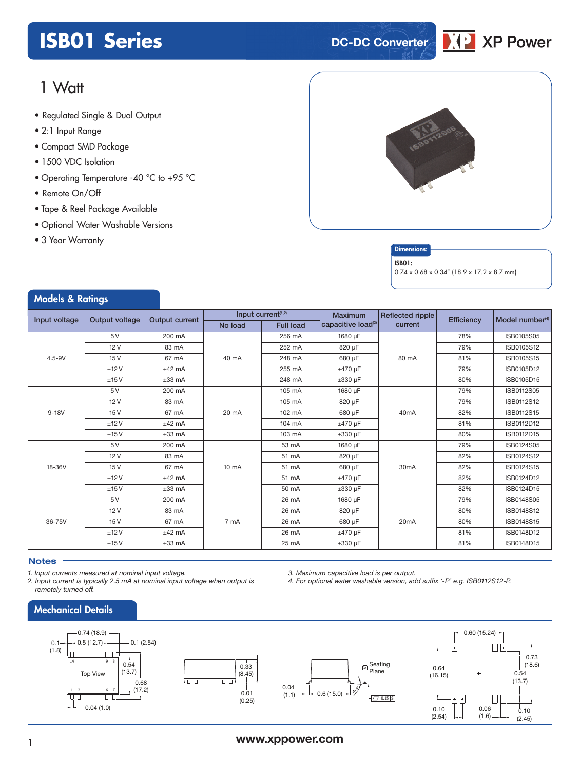# **ISB01 Series DC-DC** Converter



# 1 Watt

- **xxx Series** Regulated Single & Dual Output
- 2:1 Input Range
- Compact SMD Package
- 1500 VDC Isolation
- Operating Temperature -40 °C to +95 °C
- Remote On/Off
- Tape & Reel Package Available
- Optional Water Washable Versions
- 3 Year Warranty

Models & Ratings



### **Dimensions**

#### ISB01:

0.74 x 0.68 x 0.34" (18.9 x 17.2 x 8.7 mm)

| <b><i>INDUCTS</i></b> & NUTTING |      |                       |                                |                  |                                |                   |            |                             |
|---------------------------------|------|-----------------------|--------------------------------|------------------|--------------------------------|-------------------|------------|-----------------------------|
| Input voltage<br>Output voltage |      | <b>Output current</b> | Input current <sup>(1,2)</sup> |                  | <b>Maximum</b>                 | Reflected ripple  | Efficiency | Model number <sup>(4)</sup> |
|                                 |      |                       | No load                        | <b>Full load</b> | capacitive load <sup>(3)</sup> | current           |            |                             |
|                                 | 5 V  | 200 mA                |                                | 256 mA           | 1680 µF                        | 80 mA             | 78%        | ISB0105S05                  |
|                                 | 12V  | 83 mA                 |                                | 252 mA           | 820 µF                         |                   | 79%        | ISB0105S12                  |
| $4.5 - 9V$                      | 15V  | 67 mA                 | 40 mA                          | 248 mA           | 680 µF                         |                   | 81%        | ISB0105S15                  |
|                                 | ±12V | $±42$ mA              |                                | 255 mA           | $±470 \mu F$                   |                   | 79%        | ISB0105D12                  |
|                                 | ±15V | $±33$ mA              |                                | 248 mA           | $\pm 330$ µF                   |                   | 80%        | ISB0105D15                  |
|                                 | 5 V  | 200 mA                |                                | 105 mA           | 1680 uF                        |                   | 79%        | ISB0112S05                  |
|                                 | 12V  | 83 mA                 |                                | 105 mA           | 820 µF                         | 40 <sub>m</sub> A | 79%        | ISB0112S12                  |
| $9-18V$                         | 15V  | 67 mA                 | 20 mA                          | 102 mA           | 680 µF                         |                   | 82%        | ISB0112S15                  |
|                                 | ±12V | $±42$ mA              |                                | 104 mA           | $±470 \mu F$                   |                   | 81%        | ISB0112D12                  |
|                                 | ±15V | $±33$ mA              |                                | 103 mA           | $\pm 330$ µF                   |                   | 80%        | ISB0112D15                  |
|                                 | 5 V  | 200 mA                | $10 \text{ mA}$                | 53 mA            | 1680 µF                        | 30 <sub>m</sub> A | 79%        | ISB0124S05                  |
|                                 | 12V  | 83 mA                 |                                | 51 mA            | 820 µF                         |                   | 82%        | ISB0124S12                  |
| 18-36V                          | 15V  | 67 mA                 |                                | 51 mA            | 680 µF                         |                   | 82%        | ISB0124S15                  |
|                                 | ±12V | $±42$ mA              |                                | 51 mA            | ±470 uF                        |                   | 82%        | ISB0124D12                  |
|                                 | ±15V | $±33$ mA              |                                | 50 mA            | $\pm 330$ µF                   |                   | 82%        | ISB0124D15                  |
| 36-75V                          | 5 V  | 200 mA                | 7 mA                           | 26 mA            | 1680 uF                        | 20 <sub>m</sub> A | 79%        | <b>ISB0148S05</b>           |
|                                 | 12V  | 83 mA                 |                                | 26 mA            | 820 uF                         |                   | 80%        | ISB0148S12                  |
|                                 | 15V  | 67 mA                 |                                | 26 mA            | 680 µF                         |                   | 80%        | ISB0148S15                  |
|                                 | ±12V | $±42$ mA              |                                | 26 mA            | $±470 \mu F$                   |                   | 81%        | ISB0148D12                  |
|                                 | ±15V | $±33$ mA              |                                | 25 mA            | $\pm 330$ µF                   |                   | 81%        | ISB0148D15                  |

### **Notes**

*1. Input currents measured at nominal input voltage.*

*2. Input current is typically 2.5 mA at nominal input voltage when output is remotely turned off.*

*3. Maximum capacitive load is per output.*

*4. For optional water washable version, add suffix '-P' e.g. ISB0112S12-P.*



# <sup>1</sup> **www.xppower.com**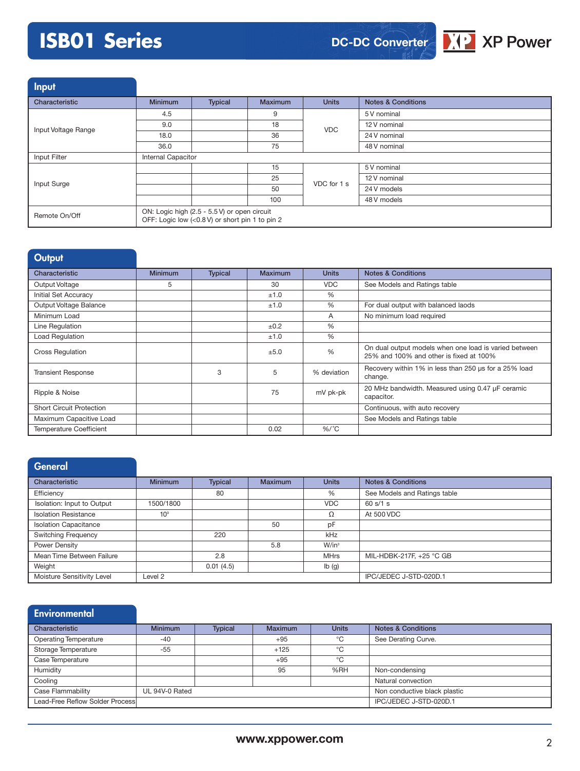# **ISB01 Series**



Input

| Characteristic      | <b>Minimum</b>                                                                                  | Typical | <b>Maximum</b> | <b>Units</b> | <b>Notes &amp; Conditions</b> |  |
|---------------------|-------------------------------------------------------------------------------------------------|---------|----------------|--------------|-------------------------------|--|
|                     | 4.5                                                                                             |         | 9              | <b>VDC</b>   | 5 V nominal                   |  |
| Input Voltage Range | 9.0                                                                                             |         | 18             |              | 12 V nominal                  |  |
|                     | 18.0                                                                                            |         | 36             |              | 24 V nominal                  |  |
|                     | 36.0                                                                                            |         | 75             |              | 48 V nominal                  |  |
| Input Filter        | <b>Internal Capacitor</b>                                                                       |         |                |              |                               |  |
|                     |                                                                                                 |         | 15             | VDC for 1 s  | 5 V nominal                   |  |
| Input Surge         |                                                                                                 |         | 25             |              | 12 V nominal                  |  |
|                     |                                                                                                 |         | 50             |              | 24 V models                   |  |
|                     |                                                                                                 |         | 100            |              | 48 V models                   |  |
| Remote On/Off       | ON: Logic high (2.5 - 5.5 V) or open circuit<br>OFF: Logic low (<0.8 V) or short pin 1 to pin 2 |         |                |              |                               |  |

| Output                          |                |                |         |              |                                                                                                  |
|---------------------------------|----------------|----------------|---------|--------------|--------------------------------------------------------------------------------------------------|
| Characteristic                  | <b>Minimum</b> | <b>Typical</b> | Maximum | <b>Units</b> | <b>Notes &amp; Conditions</b>                                                                    |
| Output Voltage                  | 5              |                | 30      | <b>VDC</b>   | See Models and Ratings table                                                                     |
| Initial Set Accuracy            |                |                | ±1.0    | $\%$         |                                                                                                  |
| Output Voltage Balance          |                |                | ±1.0    | %            | For dual output with balanced laods                                                              |
| Minimum Load                    |                |                |         | A            | No minimum load required                                                                         |
| Line Regulation                 |                |                | ±0.2    | $\%$         |                                                                                                  |
| Load Regulation                 |                |                | ±1.0    | $\%$         |                                                                                                  |
| <b>Cross Regulation</b>         |                |                | ±5.0    | %            | On dual output models when one load is varied between<br>25% and 100% and other is fixed at 100% |
| <b>Transient Response</b>       |                | 3              | 5       | % deviation  | Recovery within 1% in less than 250 us for a 25% load<br>change.                                 |
| Ripple & Noise                  |                |                | 75      | mV pk-pk     | 20 MHz bandwidth. Measured using 0.47 µF ceramic<br>capacitor.                                   |
| <b>Short Circuit Protection</b> |                |                |         |              | Continuous, with auto recovery                                                                   |
| Maximum Capacitive Load         |                |                |         |              | See Models and Ratings table                                                                     |
| <b>Temperature Coefficient</b>  |                |                | 0.02    | $\%$ /°C     |                                                                                                  |

| <b>General</b>               |                    |                |                |              |                               |
|------------------------------|--------------------|----------------|----------------|--------------|-------------------------------|
| Characteristic               | <b>Minimum</b>     | <b>Typical</b> | <b>Maximum</b> | <b>Units</b> | <b>Notes &amp; Conditions</b> |
| Efficiency                   |                    | 80             |                | %            | See Models and Ratings table  |
| Isolation: Input to Output   | 1500/1800          |                |                | <b>VDC</b>   | 60 s/1 s                      |
| <b>Isolation Resistance</b>  | 10 <sup>9</sup>    |                |                | Ω            | At 500 VDC                    |
| <b>Isolation Capacitance</b> |                    |                | 50             | pF           |                               |
| <b>Switching Frequency</b>   |                    | 220            |                | kHz          |                               |
| Power Density                |                    |                | 5.8            | $W/in^3$     |                               |
| Mean Time Between Failure    |                    | 2.8            |                | <b>MHrs</b>  | MIL-HDBK-217F, +25 °C GB      |
| Weight                       |                    | 0.01(4.5)      |                | Ib(g)        |                               |
| Moisture Sensitivity Level   | Level <sub>2</sub> |                |                |              | IPC/JEDEC J-STD-020D.1        |

| <b>Environmental</b>            |                |                |                |              |                               |
|---------------------------------|----------------|----------------|----------------|--------------|-------------------------------|
| Characteristic                  | <b>Minimum</b> | <b>Typical</b> | <b>Maximum</b> | <b>Units</b> | <b>Notes &amp; Conditions</b> |
| <b>Operating Temperature</b>    | $-40$          |                | $+95$          | °C           | See Derating Curve.           |
| Storage Temperature             | $-55$          |                | $+125$         | $^{\circ}$ C |                               |
| Case Temperature                |                |                | $+95$          | °C           |                               |
| Humidity                        |                |                | 95             | %RH          | Non-condensing                |
| Cooling                         |                |                |                |              | Natural convection            |
| Case Flammability               | UL 94V-0 Rated |                |                |              | Non conductive black plastic  |
| Lead-Free Reflow Solder Process |                |                |                |              | IPC/JEDEC J-STD-020D.1        |